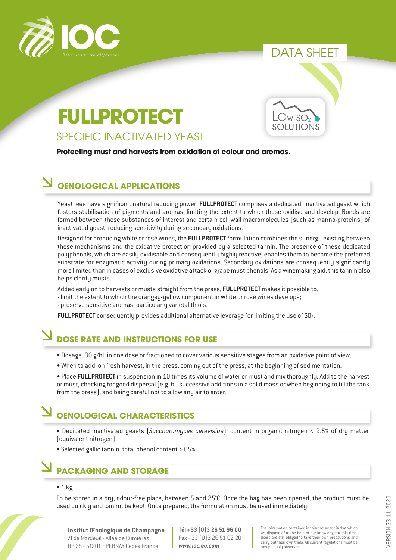

## DATA SHEET

# SPECIFIC INACTIVATED YEAST **FULLPROTECT**

**Protecting must and harvests from oxidation of colour and aromas.**

### **OENOLOGICAL APPLICATIONS**

Yeast lees have significant natural reducing power. **FULLPROTECT** comprises a dedicated, inactivated yeast which fosters stabilisation of pigments and aromas, limiting the extent to which these oxidise and develop. Bonds are formed between these substances of interest and certain cell wall macromolecules (such as manno-proteins) of inactivated yeast, reducing sensitivity during secondary oxidations.

Designed for producing white or rosé wines, the **FULLPROTECT** formulation combines the synergy existing between these mechanisms and the oxidative protection provided by a selected tannin. The presence of these dedicated polyphenols, which are easily oxidisable and consequently highly reactive, enables them to become the preferred substrate for enzymatic activity during primary oxidations. Secondary oxidations are consequently significantly more limited than in cases of exclusive oxidative attack of grape must phenols. As a winemaking aid, this tannin also helps clarify musts.

Added early on to harvests or musts straight from the press, **FULLPROTECT** makes it possible to:

- limit the extent to which the orangey-yellow component in white or rosé wines develops;
- preserve sensitive aromas, particularly varietal thiols.

**FULLPROTECT** consequently provides additional alternative leverage for limiting the use of SO<sub>2</sub>.

### **DOSE RATE AND INSTRUCTIONS FOR USE**

- Dosage: 30 g/hL in one dose or fractioned to cover various sensitive stages from an oxidative point of view.
- When to add: on fresh harvest, in the press, coming out of the press, at the beginning of sedimentation.
- Place **FULLPROTECT** in suspension in 10 times its volume of water or must and mix thoroughly. Add to the harvest or must, checking for good dispersal (e.g. by successive additions in a solid mass or when beginning to fill the tank from the press), and being careful not to allow any air to enter.

# **OENOLOGICAL CHARACTERISTICS**

- Dedicated inactivated yeasts (*Saccharomyces cerevisiae*): content in organic nitrogen < 9.5% of dry matter (equivalent nitrogen).
- Selected gallic tannin: total phenol content > 65%.

## **PACKAGING AND STORAGE**

#### $• 1 kg$

To be stored in a dry, odour-free place, between 5 and 25°C. Once the bag has been opened, the product must be used quickly and cannot be kept. Once prepared, the formulation must be used immediately.

**Institut Œnologique de Champagne** ZI de Mardeuil - Allée de Cumières BP 25 - 51201 EPERNAY Cedex France

**Tél +33 (0)3 26 51 96 00** Fax +33 (0)3 26 51 02 20 *www.ioc.eu.com*

The information contained in this document is that which we dispose of to the best of our knowledge at this time. Users are still obliged to take their own precautions and carry out their own trials. All current regulations must be scrupulously observed.